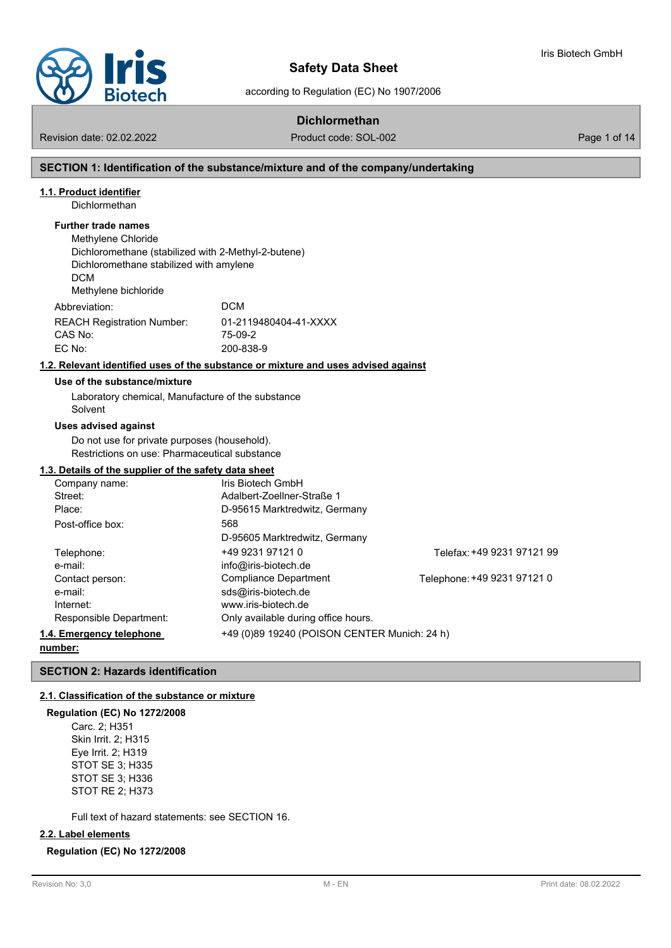

according to Regulation (EC) No 1907/2006

# **Dichlormethan**

Revision date: 02.02.2022 Product code: SOL-002 Page 1 of 14

Iris Biotech GmbH

### **SECTION 1: Identification of the substance/mixture and of the company/undertaking**

#### **1.1. Product identifier**

Dichlormethan

### **Further trade names**

Methylene Chloride Dichloromethane (stabilized with 2-Methyl-2-butene) Dichloromethane stabilized with amylene DCM Methylene bichloride Abbreviation: DCM REACH Registration Number: 01-2119480404-41-XXXX CAS No: 75-09-2 EC No: 200-838-9

#### **1.2. Relevant identified uses of the substance or mixture and uses advised against**

#### **Use of the substance/mixture**

Laboratory chemical, Manufacture of the substance Solvent

#### **Uses advised against**

Do not use for private purposes (household). Restrictions on use: Pharmaceutical substance

#### **1.3. Details of the supplier of the safety data sheet**

| Company name:            | Iris Biotech GmbH                            |                             |
|--------------------------|----------------------------------------------|-----------------------------|
| Street:                  | Adalbert-Zoellner-Straße 1                   |                             |
| Place:                   | D-95615 Marktredwitz, Germany                |                             |
| Post-office box:         | 568                                          |                             |
|                          | D-95605 Marktredwitz, Germany                |                             |
| Telephone:               | +49 9231 97121 0                             | Telefax: +49 9231 97121 99  |
| e-mail:                  | info@iris-biotech.de                         |                             |
| Contact person:          | Compliance Department                        | Telephone: +49 9231 97121 0 |
| e-mail:                  | sds@iris-biotech.de                          |                             |
| Internet:                | www.iris-biotech.de                          |                             |
| Responsible Department:  | Only available during office hours.          |                             |
| 1.4. Emergency telephone | +49 (0)89 19240 (POISON CENTER Munich: 24 h) |                             |

#### **number:**

**SECTION 2: Hazards identification**

#### **2.1. Classification of the substance or mixture**

#### **Regulation (EC) No 1272/2008**

Carc. 2; H351 Skin Irrit. 2; H315 Eye Irrit. 2; H319 STOT SE 3; H335 STOT SE 3; H336 STOT RE 2; H373

Full text of hazard statements: see SECTION 16.

#### **2.2. Label elements**

#### **Regulation (EC) No 1272/2008**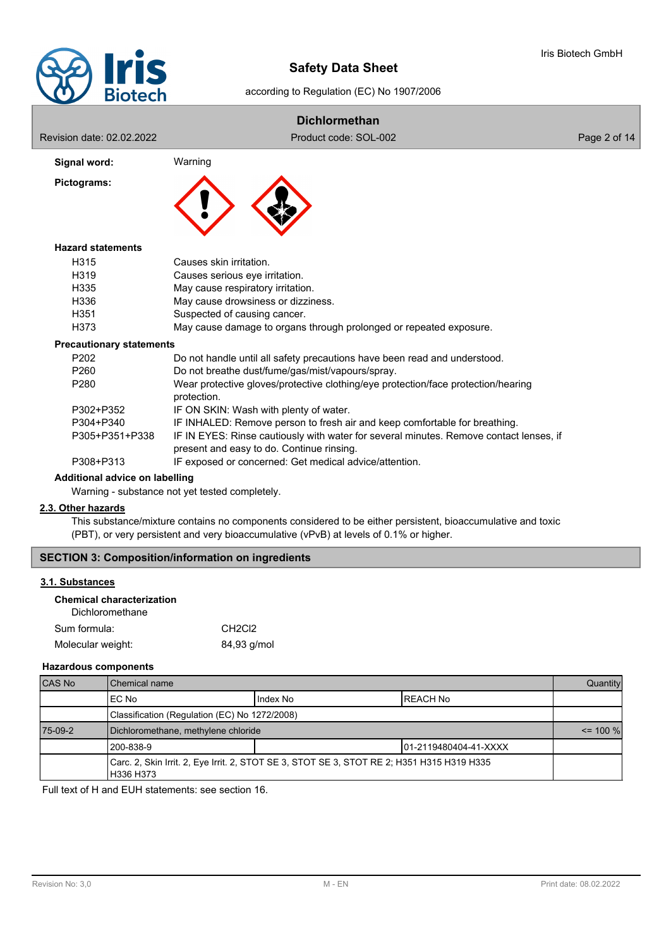

according to Regulation (EC) No 1907/2006

# **Dichlormethan**

Revision date: 02.02.2022 **Product code: SOL-002** Product code: SOL-002

| Signal word: |  |
|--------------|--|
| Pictograms:  |  |



#### **Hazard statements**

| H315             | Causes skin irritation.                                            |
|------------------|--------------------------------------------------------------------|
| H <sub>319</sub> | Causes serious eye irritation.                                     |
| H335             | May cause respiratory irritation.                                  |
| H336             | May cause drowsiness or dizziness.                                 |
| H <sub>351</sub> | Suspected of causing cancer.                                       |
| H373             | May cause damage to organs through prolonged or repeated exposure. |

#### **Precautionary statements**

| P <sub>202</sub> | Do not handle until all safety precautions have been read and understood.                                                           |
|------------------|-------------------------------------------------------------------------------------------------------------------------------------|
| P <sub>260</sub> | Do not breathe dust/fume/gas/mist/vapours/spray.                                                                                    |
| P280             | Wear protective gloves/protective clothing/eye protection/face protection/hearing<br>protection.                                    |
| P302+P352        | IF ON SKIN: Wash with plenty of water.                                                                                              |
| P304+P340        | IF INHALED: Remove person to fresh air and keep comfortable for breathing.                                                          |
| P305+P351+P338   | IF IN EYES: Rinse cautiously with water for several minutes. Remove contact lenses, if<br>present and easy to do. Continue rinsing. |
|                  |                                                                                                                                     |
| P308+P313        | IF exposed or concerned: Get medical advice/attention.                                                                              |

# **Additional advice on labelling**

Warning - substance not yet tested completely.

### **2.3. Other hazards**

This substance/mixture contains no components considered to be either persistent, bioaccumulative and toxic (PBT), or very persistent and very bioaccumulative (vPvB) at levels of 0.1% or higher.

## **SECTION 3: Composition/information on ingredients**

# **3.1. Substances**

| <b>Chemical characterization</b> |  |
|----------------------------------|--|
| Dichloromethane                  |  |

| Sum formula:      | CH <sub>2</sub> C <sub>12</sub> |
|-------------------|---------------------------------|
| Molecular weight: | 84,93 g/mol                     |

#### **Hazardous components**

| <b>CAS No</b> | Chemical name                                                                                           |           |                        | Quantity    |
|---------------|---------------------------------------------------------------------------------------------------------|-----------|------------------------|-------------|
|               | IEC No                                                                                                  | Ilndex No | IREACH No              |             |
|               | Classification (Regulation (EC) No 1272/2008)                                                           |           |                        |             |
| 75-09-2       | Dichloromethane, methylene chloride                                                                     |           |                        | $\le$ 100 % |
|               | 1200-838-9                                                                                              |           | 101-2119480404-41-XXXX |             |
|               | Carc. 2, Skin Irrit. 2, Eye Irrit. 2, STOT SE 3, STOT SE 3, STOT RE 2; H351 H315 H319 H335<br>H336 H373 |           |                        |             |

Full text of H and EUH statements: see section 16.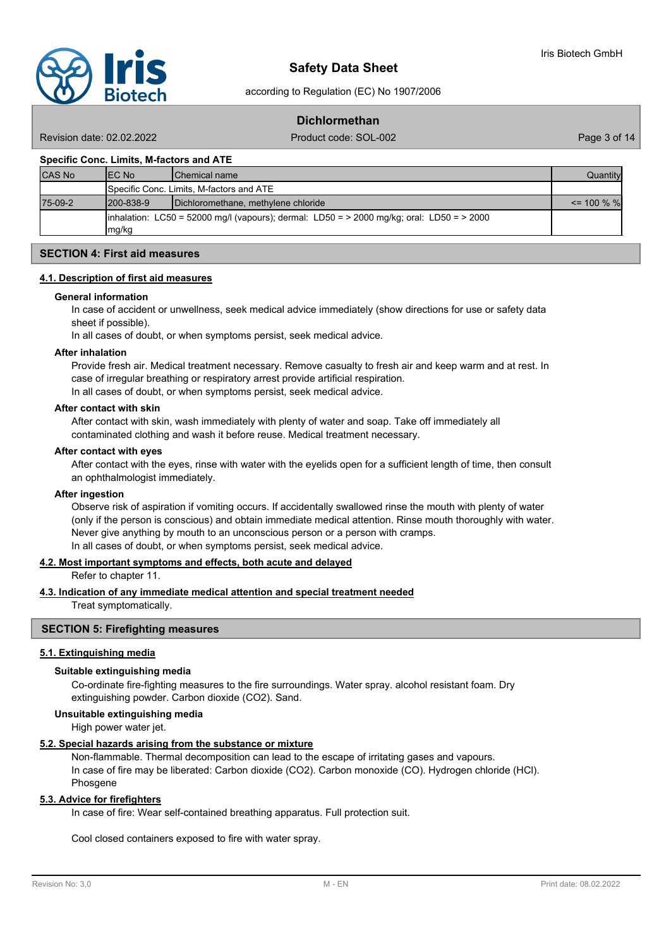

according to Regulation (EC) No 1907/2006

# **Dichlormethan**

Revision date: 02.02.2022 Product code: SOL-002 Page 3 of 14

#### **Specific Conc. Limits, M-factors and ATE**

| <b>CAS No</b> | IEC No           | <b>IChemical name</b>                                                                         | Quantityl      |
|---------------|------------------|-----------------------------------------------------------------------------------------------|----------------|
|               |                  | Specific Conc. Limits, M-factors and ATE                                                      |                |
| 75-09-2       | $1200 - 838 - 9$ | Dichloromethane, methylene chloride                                                           | $\leq$ 100 % % |
|               | Img/kg           | inhalation: LC50 = 52000 mg/l (vapours); dermal: LD50 = $>$ 2000 mg/kg; oral: LD50 = $>$ 2000 |                |

## **SECTION 4: First aid measures**

#### **4.1. Description of first aid measures**

#### **General information**

In case of accident or unwellness, seek medical advice immediately (show directions for use or safety data sheet if possible).

In all cases of doubt, or when symptoms persist, seek medical advice.

#### **After inhalation**

Provide fresh air. Medical treatment necessary. Remove casualty to fresh air and keep warm and at rest. In case of irregular breathing or respiratory arrest provide artificial respiration. In all cases of doubt, or when symptoms persist, seek medical advice.

#### **After contact with skin**

After contact with skin, wash immediately with plenty of water and soap. Take off immediately all contaminated clothing and wash it before reuse. Medical treatment necessary.

#### **After contact with eyes**

After contact with the eyes, rinse with water with the eyelids open for a sufficient length of time, then consult an ophthalmologist immediately.

#### **After ingestion**

Observe risk of aspiration if vomiting occurs. If accidentally swallowed rinse the mouth with plenty of water (only if the person is conscious) and obtain immediate medical attention. Rinse mouth thoroughly with water. Never give anything by mouth to an unconscious person or a person with cramps. In all cases of doubt, or when symptoms persist, seek medical advice.

#### **4.2. Most important symptoms and effects, both acute and delayed**

Refer to chapter 11.

# **4.3. Indication of any immediate medical attention and special treatment needed**

Treat symptomatically.

# **SECTION 5: Firefighting measures**

#### **5.1. Extinguishing media**

#### **Suitable extinguishing media**

Co-ordinate fire-fighting measures to the fire surroundings. Water spray. alcohol resistant foam. Dry extinguishing powder. Carbon dioxide (CO2). Sand.

#### **Unsuitable extinguishing media**

High power water jet.

#### **5.2. Special hazards arising from the substance or mixture**

Non-flammable. Thermal decomposition can lead to the escape of irritating gases and vapours. In case of fire may be liberated: Carbon dioxide (CO2). Carbon monoxide (CO). Hydrogen chloride (HCl). Phosgene

#### **5.3. Advice for firefighters**

In case of fire: Wear self-contained breathing apparatus. Full protection suit.

Cool closed containers exposed to fire with water spray.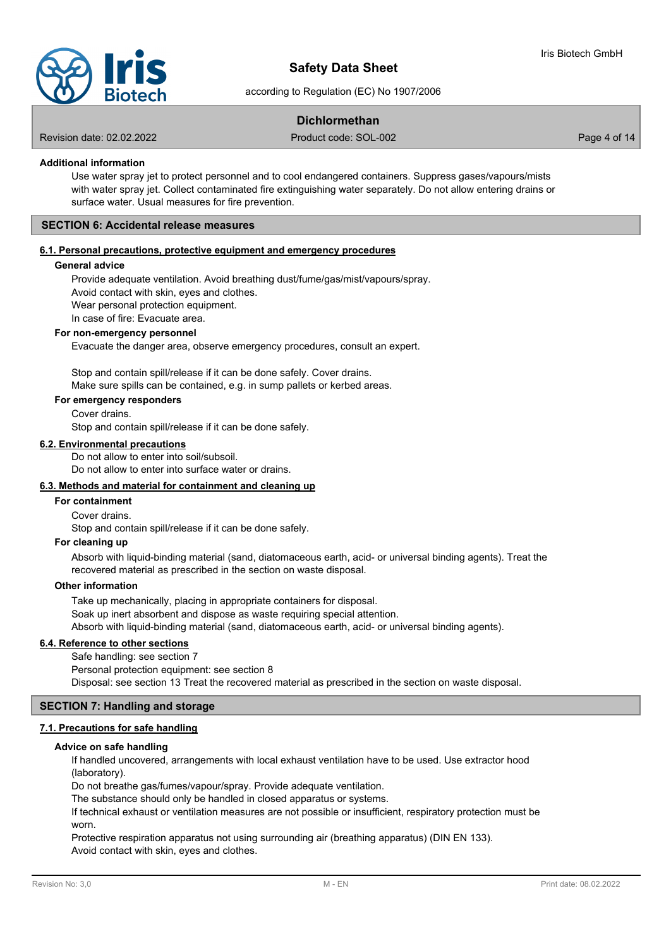

according to Regulation (EC) No 1907/2006

# **Dichlormethan**

Revision date: 02.02.2022 Product code: SOL-002 Page 4 of 14

## **Additional information**

Use water spray jet to protect personnel and to cool endangered containers. Suppress gases/vapours/mists with water spray jet. Collect contaminated fire extinguishing water separately. Do not allow entering drains or surface water. Usual measures for fire prevention.

#### **SECTION 6: Accidental release measures**

## **6.1. Personal precautions, protective equipment and emergency procedures**

#### **General advice**

Provide adequate ventilation. Avoid breathing dust/fume/gas/mist/vapours/spray. Avoid contact with skin, eyes and clothes.

Wear personal protection equipment.

In case of fire: Evacuate area.

#### **For non-emergency personnel**

Evacuate the danger area, observe emergency procedures, consult an expert.

Stop and contain spill/release if it can be done safely. Cover drains. Make sure spills can be contained, e.g. in sump pallets or kerbed areas.

### **For emergency responders**

Cover drains.

Stop and contain spill/release if it can be done safely.

#### **6.2. Environmental precautions**

Do not allow to enter into soil/subsoil.

Do not allow to enter into surface water or drains.

# **6.3. Methods and material for containment and cleaning up**

# **For containment**

Cover drains.

Stop and contain spill/release if it can be done safely.

**For cleaning up**

Absorb with liquid-binding material (sand, diatomaceous earth, acid- or universal binding agents). Treat the recovered material as prescribed in the section on waste disposal.

#### **Other information**

Take up mechanically, placing in appropriate containers for disposal. Soak up inert absorbent and dispose as waste requiring special attention. Absorb with liquid-binding material (sand, diatomaceous earth, acid- or universal binding agents).

### **6.4. Reference to other sections**

Safe handling: see section 7 Personal protection equipment: see section 8 Disposal: see section 13 Treat the recovered material as prescribed in the section on waste disposal.

## **SECTION 7: Handling and storage**

# **7.1. Precautions for safe handling**

#### **Advice on safe handling**

If handled uncovered, arrangements with local exhaust ventilation have to be used. Use extractor hood (laboratory).

Do not breathe gas/fumes/vapour/spray. Provide adequate ventilation.

The substance should only be handled in closed apparatus or systems.

If technical exhaust or ventilation measures are not possible or insufficient, respiratory protection must be worn.

Protective respiration apparatus not using surrounding air (breathing apparatus) (DIN EN 133). Avoid contact with skin, eyes and clothes.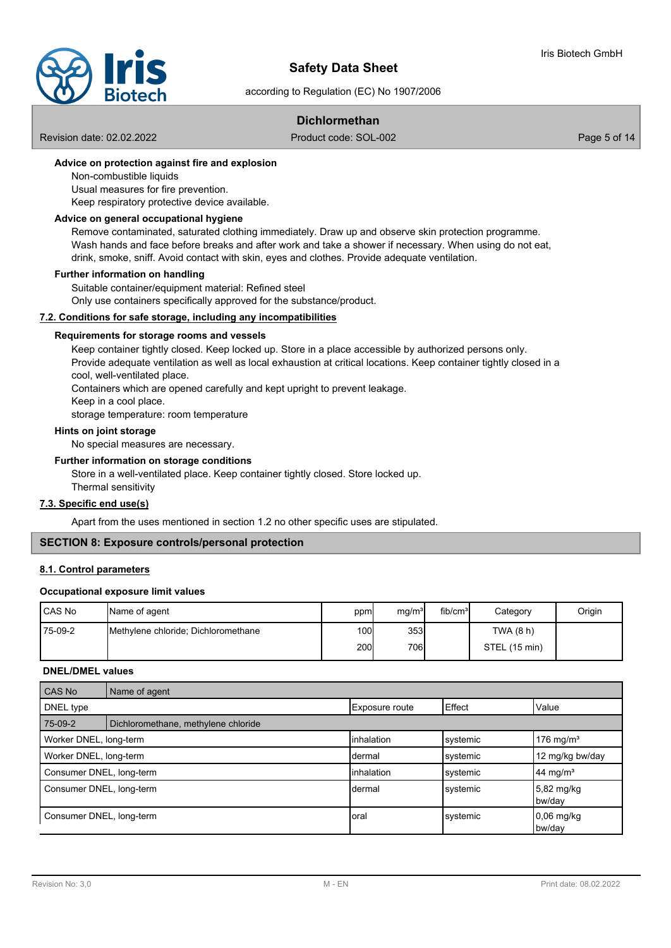

according to Regulation (EC) No 1907/2006

# **Dichlormethan**

Revision date: 02.02.2022 Product code: SOL-002 Page 5 of 14

## **Advice on protection against fire and explosion**

Non-combustible liquids

Usual measures for fire prevention.

Keep respiratory protective device available.

#### **Advice on general occupational hygiene**

Remove contaminated, saturated clothing immediately. Draw up and observe skin protection programme. Wash hands and face before breaks and after work and take a shower if necessary. When using do not eat, drink, smoke, sniff. Avoid contact with skin, eyes and clothes. Provide adequate ventilation.

#### **Further information on handling**

Suitable container/equipment material: Refined steel

Only use containers specifically approved for the substance/product.

#### **7.2. Conditions for safe storage, including any incompatibilities**

#### **Requirements for storage rooms and vessels**

Keep container tightly closed. Keep locked up. Store in a place accessible by authorized persons only. Provide adequate ventilation as well as local exhaustion at critical locations. Keep container tightly closed in a cool, well-ventilated place.

Containers which are opened carefully and kept upright to prevent leakage.

Keep in a cool place.

storage temperature: room temperature

# **Hints on joint storage**

No special measures are necessary.

# **Further information on storage conditions**

Store in a well-ventilated place. Keep container tightly closed. Store locked up. Thermal sensitivity

# **7.3. Specific end use(s)**

Apart from the uses mentioned in section 1.2 no other specific uses are stipulated.

## **SECTION 8: Exposure controls/personal protection**

# **8.1. Control parameters**

#### **Occupational exposure limit values**

| l CAS No | Name of agent                       | ppm  | mg/m <sup>3</sup> | fib/cm <sup>3</sup> | Category      | Origin |
|----------|-------------------------------------|------|-------------------|---------------------|---------------|--------|
| 75-09-2  | Methylene chloride; Dichloromethane | 100l | 353               |                     | TWA $(8 h)$   |        |
|          |                                     | 200I | 706I              |                     | STEL (15 min) |        |

#### **DNEL/DMEL values**

| CAS No                   | Name of agent                       |                       |          |                        |
|--------------------------|-------------------------------------|-----------------------|----------|------------------------|
| DNEL type                |                                     | <b>Exposure route</b> | Effect   | Value                  |
| 75-09-2                  | Dichloromethane, methylene chloride |                       |          |                        |
| Worker DNEL, long-term   |                                     | <b>linhalation</b>    | systemic | 176 mg/m <sup>3</sup>  |
| Worker DNEL, long-term   |                                     | Idermal               | systemic | 12 mg/kg bw/day        |
| Consumer DNEL, long-term |                                     | <b>linhalation</b>    | systemic | 44 mg/m <sup>3</sup>   |
| Consumer DNEL, long-term |                                     | Idermal               | systemic | 5,82 mg/kg<br>bw/day   |
| Consumer DNEL, long-term |                                     | Ioral                 | systemic | $0.06$ mg/kg<br>bw/day |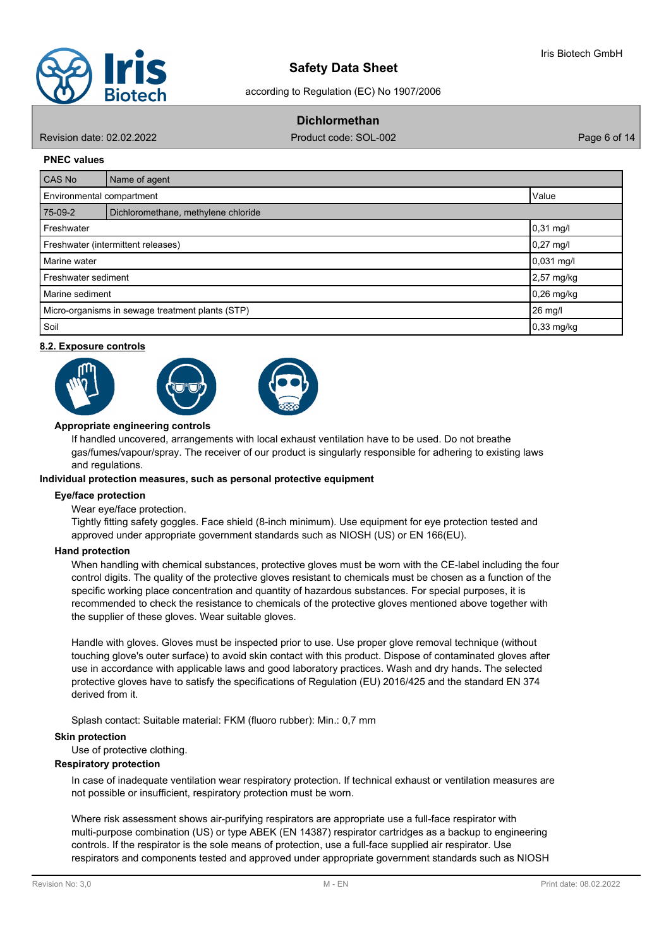

according to Regulation (EC) No 1907/2006

# **Dichlormethan**

Revision date: 02.02.2022 Product code: SOL-002 Page 6 of 14

#### **PNEC values**

| <b>CAS No</b>                                     | Name of agent                       |              |  |
|---------------------------------------------------|-------------------------------------|--------------|--|
|                                                   | Value<br>Environmental compartment  |              |  |
| 75-09-2                                           | Dichloromethane, methylene chloride |              |  |
| Freshwater                                        |                                     | 0,31 mg/l    |  |
| $0,27$ mg/l<br>Freshwater (intermittent releases) |                                     |              |  |
| Marine water                                      |                                     | 0,031 mg/l   |  |
| Freshwater sediment                               |                                     | 2,57 mg/kg   |  |
| Marine sediment                                   |                                     | $0,26$ mg/kg |  |
| Micro-organisms in sewage treatment plants (STP)  |                                     | 26 mg/l      |  |
| Soil                                              |                                     | $0,33$ mg/kg |  |

#### **8.2. Exposure controls**







#### **Appropriate engineering controls**

If handled uncovered, arrangements with local exhaust ventilation have to be used. Do not breathe gas/fumes/vapour/spray. The receiver of our product is singularly responsible for adhering to existing laws and regulations.

#### **Individual protection measures, such as personal protective equipment**

#### **Eye/face protection**

Wear eye/face protection.

Tightly fitting safety goggles. Face shield (8-inch minimum). Use equipment for eye protection tested and approved under appropriate government standards such as NIOSH (US) or EN 166(EU).

#### **Hand protection**

When handling with chemical substances, protective gloves must be worn with the CE-label including the four control digits. The quality of the protective gloves resistant to chemicals must be chosen as a function of the specific working place concentration and quantity of hazardous substances. For special purposes, it is recommended to check the resistance to chemicals of the protective gloves mentioned above together with the supplier of these gloves. Wear suitable gloves.

Handle with gloves. Gloves must be inspected prior to use. Use proper glove removal technique (without touching glove's outer surface) to avoid skin contact with this product. Dispose of contaminated gloves after use in accordance with applicable laws and good laboratory practices. Wash and dry hands. The selected protective gloves have to satisfy the specifications of Regulation (EU) 2016/425 and the standard EN 374 derived from it.

Splash contact: Suitable material: FKM (fluoro rubber): Min.: 0,7 mm

#### **Skin protection**

Use of protective clothing.

#### **Respiratory protection**

In case of inadequate ventilation wear respiratory protection. If technical exhaust or ventilation measures are not possible or insufficient, respiratory protection must be worn.

Where risk assessment shows air-purifying respirators are appropriate use a full-face respirator with multi-purpose combination (US) or type ABEK (EN 14387) respirator cartridges as a backup to engineering controls. If the respirator is the sole means of protection, use a full-face supplied air respirator. Use respirators and components tested and approved under appropriate government standards such as NIOSH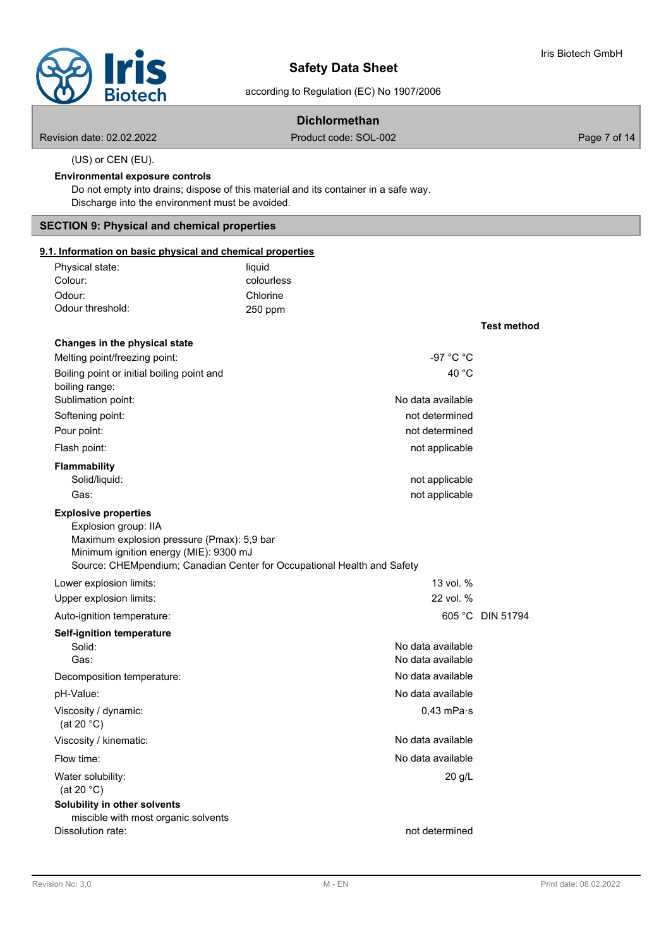**Test method**

# according to Regulation (EC) No 1907/2006

# **Dichlormethan**

Revision date: 02.02.2022 Product code: SOL-002 Page 7 of 14

(US) or CEN (EU).

#### **Environmental exposure controls**

Do not empty into drains; dispose of this material and its container in a safe way. Discharge into the environment must be avoided.

# **SECTION 9: Physical and chemical properties**

# **9.1. Information on basic physical and chemical properties**

| liquid     |
|------------|
| colourless |
| Chlorine   |
| $250$ ppm  |
|            |

# **Changes in the physical state** Melting point/freezing point:  $-97 °C °C$ Boiling point or initial boiling point and 40 °C boiling range: Sublimation point: No data available Softening point: not determined Pour point: not determined Flash point: not applicable that the state of the state of the state of the state of the state of the state of the state of the state of the state of the state of the state of the state of the state of the state of the sta **Flammability** Solid/liquid: not applicable Gas: **not applicable** Gas: **not applicable** Gas: **not applicable** Gas: **not applicable** Gas: **not applicable** Gas: **not applicable** Gas: **not applicable** Gas: **not** applicable Explosion group: IIA Maximum explosion pressure (Pmax): 5,9 bar Minimum ignition energy (MIE): 9300 mJ Source: CHEMpendium; Canadian Center for Occupational Health and Safety **Explosive properties** Lower explosion limits: 13 vol. % Upper explosion limits: 22 vol. % Auto-ignition temperature: 605 °C DIN 51794 **Self-ignition temperature** Solid: No data available contract the state of the state of the state of the state of the state of the state of the state of the state of the state of the state of the state of the state of the state of the state of the st Gas: Gas: Contract available contract of the contract of the contract of the contract of the contract of the contract of the contract of the contract of the contract of the contract of the contract of the contract of the c Decomposition temperature: No data available pH-Value: No data available Viscosity / dynamic: (at 20 °C) 0,43 mPa·s Viscosity / kinematic: No data available No data available Flow time: No data available and the state of the state of the state of the No data available Water solubility: (at 20 °C) 20 g/L **Solubility in other solvents** miscible with most organic solvents Dissolution rate: not determined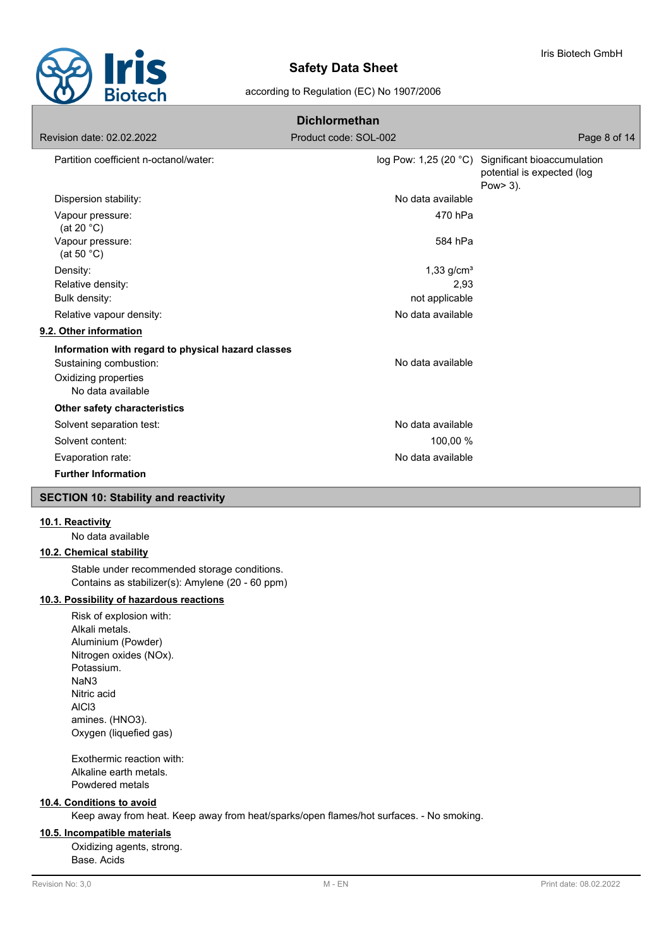

#### according to Regulation (EC) No 1907/2006

| <b>Dichlormethan</b>                               |                          |                                                                                             |  |  |  |
|----------------------------------------------------|--------------------------|---------------------------------------------------------------------------------------------|--|--|--|
| Revision date: 02.02.2022                          | Product code: SOL-002    | Page 8 of 14                                                                                |  |  |  |
| Partition coefficient n-octanol/water:             |                          | log Pow: 1,25 (20 °C) Significant bioaccumulation<br>potential is expected (log<br>Pow> 3). |  |  |  |
| Dispersion stability:                              | No data available        |                                                                                             |  |  |  |
| Vapour pressure:<br>(at 20 $°C$ )                  | 470 hPa                  |                                                                                             |  |  |  |
| Vapour pressure:<br>(at 50 $°C$ )                  | 584 hPa                  |                                                                                             |  |  |  |
| Density:                                           | $1,33$ g/cm <sup>3</sup> |                                                                                             |  |  |  |
| Relative density:                                  | 2,93                     |                                                                                             |  |  |  |
| Bulk density:                                      | not applicable           |                                                                                             |  |  |  |
| Relative vapour density:                           | No data available        |                                                                                             |  |  |  |
| 9.2. Other information                             |                          |                                                                                             |  |  |  |
| Information with regard to physical hazard classes |                          |                                                                                             |  |  |  |
| Sustaining combustion:                             | No data available        |                                                                                             |  |  |  |
| Oxidizing properties<br>No data available          |                          |                                                                                             |  |  |  |
| Other safety characteristics                       |                          |                                                                                             |  |  |  |
| Solvent separation test:                           | No data available        |                                                                                             |  |  |  |
| Solvent content:                                   | 100,00 %                 |                                                                                             |  |  |  |
| Evaporation rate:                                  | No data available        |                                                                                             |  |  |  |
| <b>Further Information</b>                         |                          |                                                                                             |  |  |  |

# **SECTION 10: Stability and reactivity**

# **10.1. Reactivity**

No data available

# **10.2. Chemical stability**

Stable under recommended storage conditions. Contains as stabilizer(s): Amylene (20 - 60 ppm)

# **10.3. Possibility of hazardous reactions**

Risk of explosion with: Alkali metals. Aluminium (Powder) Nitrogen oxides (NOx). Potassium. NaN3 Nitric acid AlCl3 amines. (HNO3). Oxygen (liquefied gas)

Exothermic reaction with: Alkaline earth metals. Powdered metals

# **10.4. Conditions to avoid**

Keep away from heat. Keep away from heat/sparks/open flames/hot surfaces. - No smoking.

### **10.5. Incompatible materials**

Oxidizing agents, strong. Base. Acids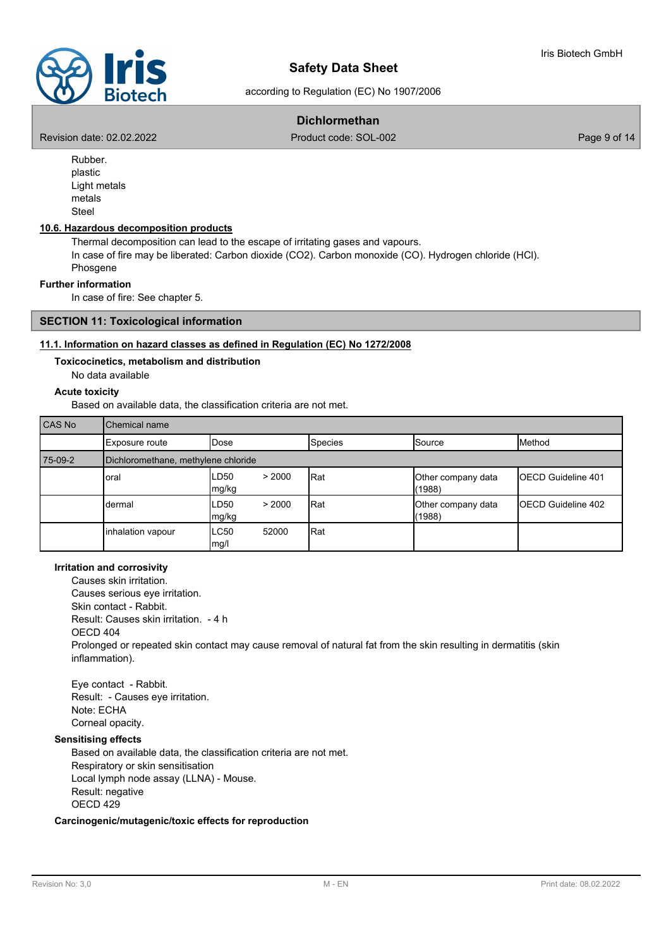according to Regulation (EC) No 1907/2006

# **Dichlormethan**

Revision date: 02.02.2022 Product code: SOL-002 Page 9 of 14

Rubber. plastic Light metals metals Steel

# **10.6. Hazardous decomposition products**

Thermal decomposition can lead to the escape of irritating gases and vapours. In case of fire may be liberated: Carbon dioxide (CO2). Carbon monoxide (CO). Hydrogen chloride (HCl). Phosgene

#### **Further information**

In case of fire: See chapter 5.

# **SECTION 11: Toxicological information**

#### **11.1. Information on hazard classes as defined in Regulation (EC) No 1272/2008**

#### **Toxicocinetics, metabolism and distribution**

No data available

### **Acute toxicity**

Based on available data, the classification criteria are not met.

| CAS No  | Chemical name                       |                         |                |                              |                            |
|---------|-------------------------------------|-------------------------|----------------|------------------------------|----------------------------|
|         | Exposure route                      | <b>IDose</b>            | <b>Species</b> | Source                       | Method                     |
| 75-09-2 | Dichloromethane, methylene chloride |                         |                |                              |                            |
|         | oral                                | LD50<br>> 2000<br>mg/kg | Rat            | Other company data<br>(1988) | <b>IOECD Guideline 401</b> |
|         | dermal                              | LD50<br>> 2000<br>mg/kg | Rat            | Other company data<br>(1988) | <b>IOECD Guideline 402</b> |
|         | inhalation vapour                   | ILC50<br>52000<br>mg/l  | Rat            |                              |                            |

## **Irritation and corrosivity**

Causes skin irritation. Causes serious eye irritation. Skin contact - Rabbit. Result: Causes skin irritation. - 4 h OECD 404 Prolonged or repeated skin contact may cause removal of natural fat from the skin resulting in dermatitis (skin inflammation).

Eye contact - Rabbit. Result: - Causes eye irritation. Note: ECHA Corneal opacity.

# **Sensitising effects**

Based on available data, the classification criteria are not met. Respiratory or skin sensitisation Local lymph node assay (LLNA) - Mouse. Result: negative OECD 429

#### **Carcinogenic/mutagenic/toxic effects for reproduction**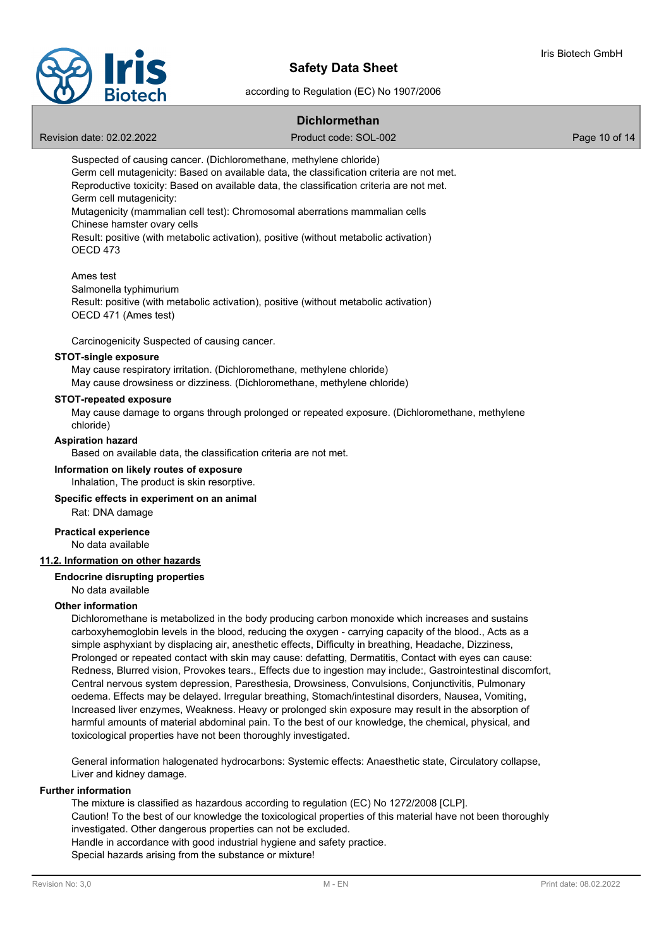

according to Regulation (EC) No 1907/2006

# **Dichlormethan**

Revision date: 02.02.2022 Product code: SOL-002 Product code: SOL-002

Suspected of causing cancer. (Dichloromethane, methylene chloride) Germ cell mutagenicity: Based on available data, the classification criteria are not met. Reproductive toxicity: Based on available data, the classification criteria are not met. Germ cell mutagenicity: Mutagenicity (mammalian cell test): Chromosomal aberrations mammalian cells

Chinese hamster ovary cells Result: positive (with metabolic activation), positive (without metabolic activation) OECD 473

### Ames test

Salmonella typhimurium Result: positive (with metabolic activation), positive (without metabolic activation) OECD 471 (Ames test)

Carcinogenicity Suspected of causing cancer.

#### **STOT-single exposure**

May cause respiratory irritation. (Dichloromethane, methylene chloride) May cause drowsiness or dizziness. (Dichloromethane, methylene chloride)

# **STOT-repeated exposure**

May cause damage to organs through prolonged or repeated exposure. (Dichloromethane, methylene chloride)

#### **Aspiration hazard**

Based on available data, the classification criteria are not met.

# **Information on likely routes of exposure**

Inhalation, The product is skin resorptive.

#### **Specific effects in experiment on an animal**

Rat: DNA damage

#### No data available **Practical experience**

## **11.2. Information on other hazards**

# **Endocrine disrupting properties**

No data available

## **Other information**

Dichloromethane is metabolized in the body producing carbon monoxide which increases and sustains carboxyhemoglobin levels in the blood, reducing the oxygen - carrying capacity of the blood., Acts as a simple asphyxiant by displacing air, anesthetic effects, Difficulty in breathing, Headache, Dizziness, Prolonged or repeated contact with skin may cause: defatting, Dermatitis, Contact with eyes can cause: Redness, Blurred vision, Provokes tears., Effects due to ingestion may include:, Gastrointestinal discomfort, Central nervous system depression, Paresthesia, Drowsiness, Convulsions, Conjunctivitis, Pulmonary oedema. Effects may be delayed. Irregular breathing, Stomach/intestinal disorders, Nausea, Vomiting, Increased liver enzymes, Weakness. Heavy or prolonged skin exposure may result in the absorption of harmful amounts of material abdominal pain. To the best of our knowledge, the chemical, physical, and toxicological properties have not been thoroughly investigated.

General information halogenated hydrocarbons: Systemic effects: Anaesthetic state, Circulatory collapse, Liver and kidney damage.

#### **Further information**

The mixture is classified as hazardous according to regulation (EC) No 1272/2008 [CLP]. Caution! To the best of our knowledge the toxicological properties of this material have not been thoroughly investigated. Other dangerous properties can not be excluded. Handle in accordance with good industrial hygiene and safety practice. Special hazards arising from the substance or mixture!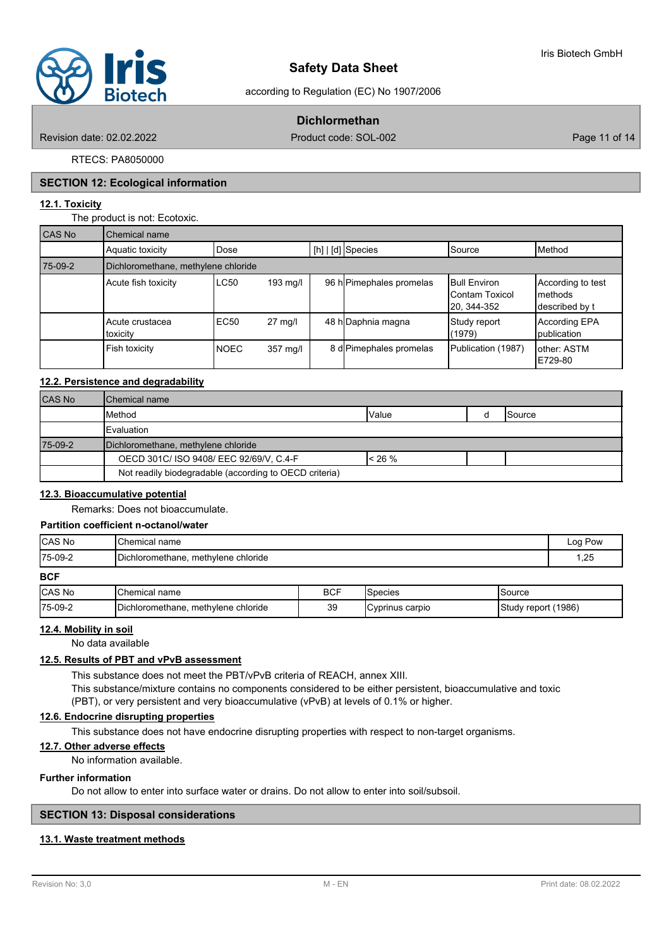

according to Regulation (EC) No 1907/2006

# **Dichlormethan**

Revision date: 02.02.2022 Product code: SOL-002 Page 11 of 14

RTECS: PA8050000

#### **SECTION 12: Ecological information**

# **12.1. Toxicity**

The product is not: Ecotoxic.

| CAS No  | Chemical name                       |             |                   |  |                          |                                                              |                                                 |
|---------|-------------------------------------|-------------|-------------------|--|--------------------------|--------------------------------------------------------------|-------------------------------------------------|
|         | Aquatic toxicity                    | Dose        |                   |  | $[h]   [d]$ Species      | <b>S</b> ource                                               | <b>I</b> Method                                 |
| 75-09-2 | Dichloromethane, methylene chloride |             |                   |  |                          |                                                              |                                                 |
|         | Acute fish toxicity                 | LC50        | 193 mg/l          |  | 96 h Pimephales promelas | <b>Bull Environ</b><br><b>IContam Toxicol</b><br>20, 344-352 | According to test<br>Imethods<br>described by t |
|         | Acute crustacea<br>toxicity         | EC50        | $27 \text{ mq/l}$ |  | 48 h Daphnia magna       | Study report<br>(1979)                                       | According EPA<br><b>I</b> publication           |
|         | Fish toxicity                       | <b>NOEC</b> | $357$ mg/l        |  | 8 d Pimephales promelas  | Publication (1987)                                           | lother: ASTM<br>E729-80                         |

# **12.2. Persistence and degradability**

| <b>CAS No</b> | <b>I</b> Chemical name                                 |           |  |                |  |
|---------------|--------------------------------------------------------|-----------|--|----------------|--|
|               | Method                                                 | Value     |  | <b>ISource</b> |  |
|               | <b>IEvaluation</b>                                     |           |  |                |  |
| 75-09-2       | Dichloromethane, methylene chloride                    |           |  |                |  |
|               | OECD 301C/ ISO 9408/ EEC 92/69/V, C.4-F                | $< 26 \%$ |  |                |  |
|               | Not readily biodegradable (according to OECD criteria) |           |  |                |  |

### **12.3. Bioaccumulative potential**

Remarks: Does not bioaccumulate.

#### **Partition coefficient n-octanol/water**

| <b>CAS No</b> | <b>I</b> Chemical name              | Log Pow |
|---------------|-------------------------------------|---------|
| 75-09-2       | Dichloromethane, methylene chloride | 1,25    |
| <b>BCF</b>    |                                     |         |

| ---     |                                        |            |                  |                                       |
|---------|----------------------------------------|------------|------------------|---------------------------------------|
| ∣CAS No | name<br>Chemical r                     | <b>BCF</b> | <b>Species</b>   | Source                                |
| 75-09-2 | methylene chloride<br>Dichloromethane. | 39         | ICvprinus carpio | (1986)<br>$\sim$<br>report<br>. studv |

# **12.4. Mobility in soil**

No data available

#### **12.5. Results of PBT and vPvB assessment**

This substance does not meet the PBT/vPvB criteria of REACH, annex XIII.

This substance/mixture contains no components considered to be either persistent, bioaccumulative and toxic

(PBT), or very persistent and very bioaccumulative (vPvB) at levels of 0.1% or higher.

# **12.6. Endocrine disrupting properties**

This substance does not have endocrine disrupting properties with respect to non-target organisms.

# **12.7. Other adverse effects**

No information available.

# **Further information**

Do not allow to enter into surface water or drains. Do not allow to enter into soil/subsoil.

#### **SECTION 13: Disposal considerations**

#### **13.1. Waste treatment methods**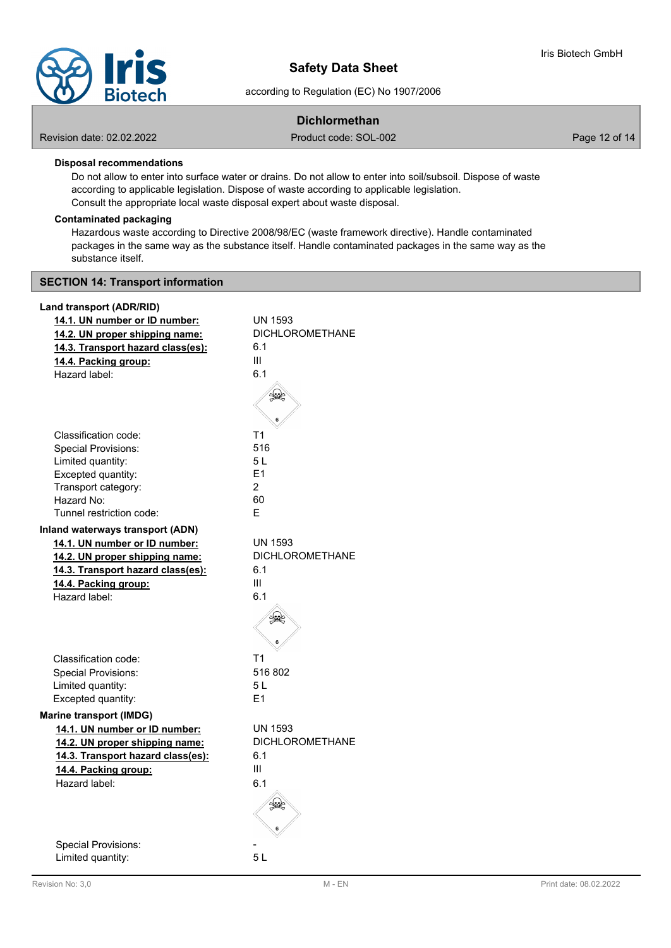

according to Regulation (EC) No 1907/2006

# **Dichlormethan**

Revision date: 02.02.2022 Product code: SOL-002 Product code: SOL-002

# **Disposal recommendations**

Do not allow to enter into surface water or drains. Do not allow to enter into soil/subsoil. Dispose of waste according to applicable legislation. Dispose of waste according to applicable legislation. Consult the appropriate local waste disposal expert about waste disposal.

#### **Contaminated packaging**

Hazardous waste according to Directive 2008/98/EC (waste framework directive). Handle contaminated packages in the same way as the substance itself. Handle contaminated packages in the same way as the substance itself.

#### **SECTION 14: Transport information**

#### **Land transport (ADR/RID)**

| 14.1. UN number or ID number:           | <b>UN 1593</b>         |
|-----------------------------------------|------------------------|
| 14.2. UN proper shipping name:          | <b>DICHLOROMETHANE</b> |
| 14.3. Transport hazard class(es):       | 6.1                    |
| 14.4. Packing group:                    | Ш                      |
| Hazard label:                           | 6.1                    |
|                                         |                        |
|                                         |                        |
|                                         |                        |
|                                         |                        |
| Classification code:                    | T1                     |
| <b>Special Provisions:</b>              | 516                    |
| Limited quantity:                       | 5L                     |
| Excepted quantity:                      | E1                     |
| Transport category:                     | $\overline{2}$         |
| Hazard No:                              | 60                     |
| Tunnel restriction code:                | Е                      |
| <b>Inland waterways transport (ADN)</b> |                        |
| 14.1. UN number or ID number:           | <b>UN 1593</b>         |
| 14.2. UN proper shipping name:          | <b>DICHLOROMETHANE</b> |
| 14.3. Transport hazard class(es):       | 6.1                    |
| 14.4. Packing group:                    | Ш                      |
| Hazard label:                           | 6.1                    |
|                                         |                        |
|                                         |                        |
|                                         |                        |
|                                         |                        |
| Classification code:                    | T <sub>1</sub>         |
| Special Provisions:                     | 516 802                |
| Limited quantity:                       | 5 L                    |
| Excepted quantity:                      | E1                     |
| <b>Marine transport (IMDG)</b>          |                        |
|                                         | <b>UN 1593</b>         |
| 14.1. UN number or ID number:           |                        |
| 14.2. UN proper shipping name:          | <b>DICHLOROMETHANE</b> |
| 14.3. Transport hazard class(es):       | 6.1                    |
| 14.4. Packing group:                    | Ш                      |
| Hazard label:                           | 6.1                    |
|                                         |                        |
|                                         |                        |
|                                         |                        |
| <b>Special Provisions:</b>              |                        |
| Limited quantity:                       | 5L                     |
|                                         |                        |
|                                         |                        |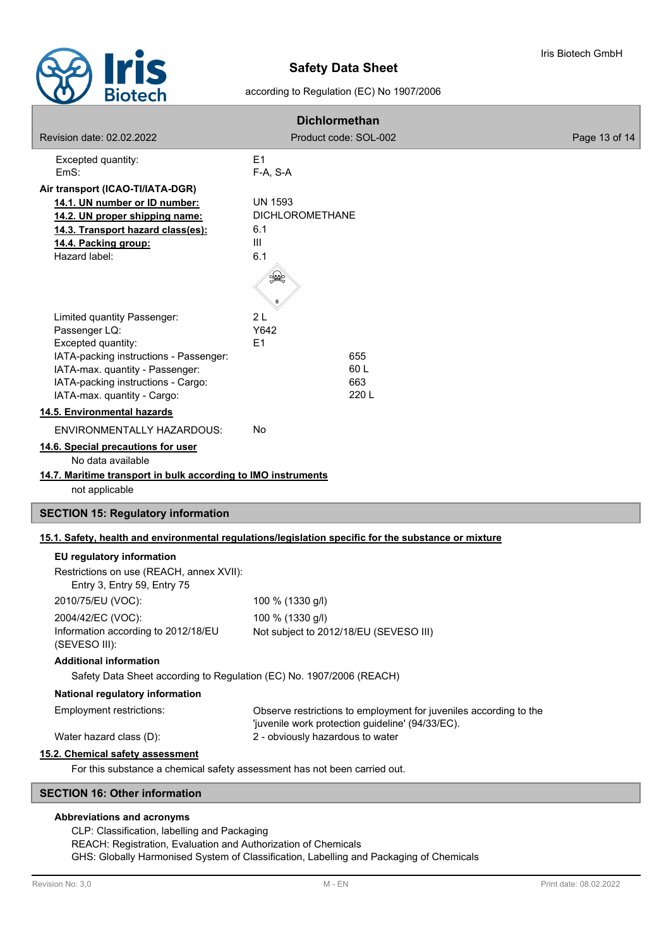

according to Regulation (EC) No 1907/2006

| <b>Dichlormethan</b>                                                      |                                                                                                                       |               |  |  |
|---------------------------------------------------------------------------|-----------------------------------------------------------------------------------------------------------------------|---------------|--|--|
| <b>Revision date: 02.02.2022</b>                                          | Product code: SOL-002                                                                                                 | Page 13 of 14 |  |  |
| Excepted quantity:                                                        | E <sub>1</sub>                                                                                                        |               |  |  |
| EmS:                                                                      | F-A, S-A                                                                                                              |               |  |  |
| Air transport (ICAO-TI/IATA-DGR)                                          |                                                                                                                       |               |  |  |
| 14.1. UN number or ID number:<br>14.2. UN proper shipping name:           | UN 1593<br><b>DICHLOROMETHANE</b>                                                                                     |               |  |  |
| 14.3. Transport hazard class(es):                                         | 6.1                                                                                                                   |               |  |  |
| 14.4. Packing group:                                                      | III                                                                                                                   |               |  |  |
| Hazard label:                                                             | 6.1                                                                                                                   |               |  |  |
|                                                                           | ≸€                                                                                                                    |               |  |  |
| Limited quantity Passenger:                                               | 2L                                                                                                                    |               |  |  |
| Passenger LQ:<br>Excepted quantity:                                       | Y642<br>E <sub>1</sub>                                                                                                |               |  |  |
| IATA-packing instructions - Passenger:                                    | 655                                                                                                                   |               |  |  |
| IATA-max. quantity - Passenger:                                           | 60 L                                                                                                                  |               |  |  |
| IATA-packing instructions - Cargo:                                        | 663                                                                                                                   |               |  |  |
| IATA-max. quantity - Cargo:                                               | 220 L                                                                                                                 |               |  |  |
| 14.5. Environmental hazards                                               |                                                                                                                       |               |  |  |
| <b>ENVIRONMENTALLY HAZARDOUS:</b>                                         | No                                                                                                                    |               |  |  |
| 14.6. Special precautions for user<br>No data available                   |                                                                                                                       |               |  |  |
| 14.7. Maritime transport in bulk according to IMO instruments             |                                                                                                                       |               |  |  |
| not applicable                                                            |                                                                                                                       |               |  |  |
| <b>SECTION 15: Regulatory information</b>                                 |                                                                                                                       |               |  |  |
|                                                                           | 15.1. Safety, health and environmental regulations/legislation specific for the substance or mixture                  |               |  |  |
| EU regulatory information                                                 |                                                                                                                       |               |  |  |
| Restrictions on use (REACH, annex XVII):                                  |                                                                                                                       |               |  |  |
| Entry 3, Entry 59, Entry 75                                               |                                                                                                                       |               |  |  |
| 2010/75/EU (VOC):                                                         | 100 % (1330 g/l)                                                                                                      |               |  |  |
| 2004/42/EC (VOC):                                                         | 100 % (1330 g/l)                                                                                                      |               |  |  |
| Information according to 2012/18/EU<br>(SEVESO III):                      | Not subject to 2012/18/EU (SEVESO III)                                                                                |               |  |  |
| <b>Additional information</b>                                             |                                                                                                                       |               |  |  |
| Safety Data Sheet according to Regulation (EC) No. 1907/2006 (REACH)      |                                                                                                                       |               |  |  |
| National regulatory information                                           |                                                                                                                       |               |  |  |
| Employment restrictions:                                                  | Observe restrictions to employment for juveniles according to the<br>'juvenile work protection guideline' (94/33/EC). |               |  |  |
| Water hazard class (D):                                                   | 2 - obviously hazardous to water                                                                                      |               |  |  |
| 15.2. Chemical safety assessment                                          |                                                                                                                       |               |  |  |
| For this substance a chemical safety assessment has not been carried out. |                                                                                                                       |               |  |  |
| <b>SECTION 16: Other information</b>                                      |                                                                                                                       |               |  |  |

#### **Abbreviations and acronyms**

CLP: Classification, labelling and Packaging REACH: Registration, Evaluation and Authorization of Chemicals GHS: Globally Harmonised System of Classification, Labelling and Packaging of Chemicals